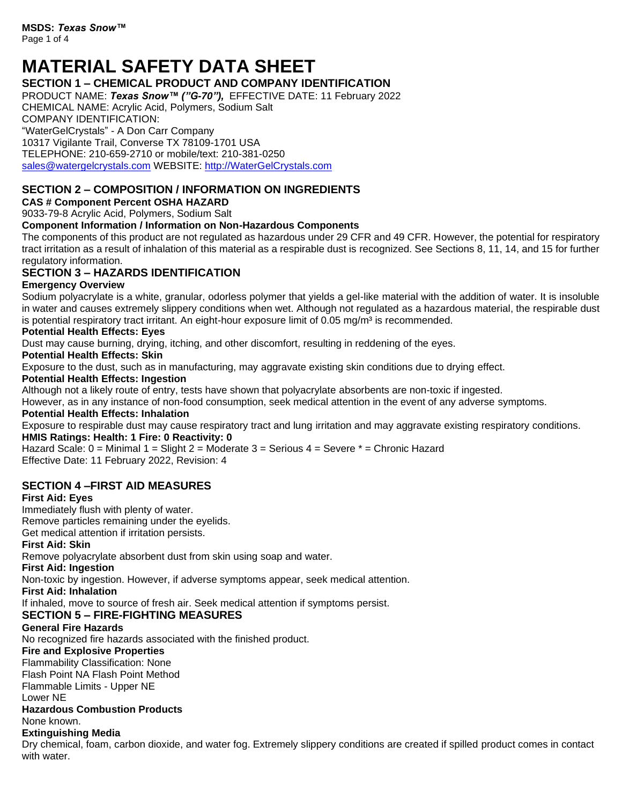# **MATERIAL SAFETY DATA SHEET**

# **SECTION 1 – CHEMICAL PRODUCT AND COMPANY IDENTIFICATION**

PRODUCT NAME: *Texas Snow™ ("G-70"),* EFFECTIVE DATE: 11 February 2022 CHEMICAL NAME: Acrylic Acid, Polymers, Sodium Salt

COMPANY IDENTIFICATION:

"WaterGelCrystals" - A Don Carr Company

10317 Vigilante Trail, Converse TX 78109-1701 USA TELEPHONE: 210-659-2710 or mobile/text: 210-381-0250 [sales@watergelcrystals.com](mailto:sales@watergelcrystals.com) WEBSITE: [http://WaterGelCrystals.com](http://watergelcrystals.com/)

# **SECTION 2 – COMPOSITION / INFORMATION ON INGREDIENTS**

**CAS # Component Percent OSHA HAZARD**

9033-79-8 Acrylic Acid, Polymers, Sodium Salt

#### **Component Information / Information on Non-Hazardous Components**

The components of this product are not regulated as hazardous under 29 CFR and 49 CFR. However, the potential for respiratory tract irritation as a result of inhalation of this material as a respirable dust is recognized. See Sections 8, 11, 14, and 15 for further regulatory information.

# **SECTION 3 – HAZARDS IDENTIFICATION**

#### **Emergency Overview**

Sodium polyacrylate is a white, granular, odorless polymer that yields a gel-like material with the addition of water. It is insoluble in water and causes extremely slippery conditions when wet. Although not regulated as a hazardous material, the respirable dust is potential respiratory tract irritant. An eight-hour exposure limit of  $0.05$  mg/m<sup>3</sup> is recommended.

#### **Potential Health Effects: Eyes**

Dust may cause burning, drying, itching, and other discomfort, resulting in reddening of the eyes.

#### **Potential Health Effects: Skin**

Exposure to the dust, such as in manufacturing, may aggravate existing skin conditions due to drying effect.

#### **Potential Health Effects: Ingestion**

Although not a likely route of entry, tests have shown that polyacrylate absorbents are non-toxic if ingested.

However, as in any instance of non-food consumption, seek medical attention in the event of any adverse symptoms.

#### **Potential Health Effects: Inhalation**

Exposure to respirable dust may cause respiratory tract and lung irritation and may aggravate existing respiratory conditions. **HMIS Ratings: Health: 1 Fire: 0 Reactivity: 0**

Hazard Scale: 0 = Minimal 1 = Slight 2 = Moderate 3 = Serious 4 = Severe \* = Chronic Hazard Effective Date: 11 February 2022, Revision: 4

# **SECTION 4 –FIRST AID MEASURES**

### **First Aid: Eyes**

Immediately flush with plenty of water.

Remove particles remaining under the eyelids.

Get medical attention if irritation persists.

# **First Aid: Skin**

Remove polyacrylate absorbent dust from skin using soap and water.

#### **First Aid: Ingestion**

Non-toxic by ingestion. However, if adverse symptoms appear, seek medical attention.

#### **First Aid: Inhalation**

If inhaled, move to source of fresh air. Seek medical attention if symptoms persist.

# **SECTION 5 – FIRE-FIGHTING MEASURES**

#### **General Fire Hazards**

No recognized fire hazards associated with the finished product.

#### **Fire and Explosive Properties**

Flammability Classification: None

Flash Point NA Flash Point Method

Flammable Limits - Upper NE

Lower NE

#### **Hazardous Combustion Products**

#### None known.

# **Extinguishing Media**

Dry chemical, foam, carbon dioxide, and water fog. Extremely slippery conditions are created if spilled product comes in contact with water.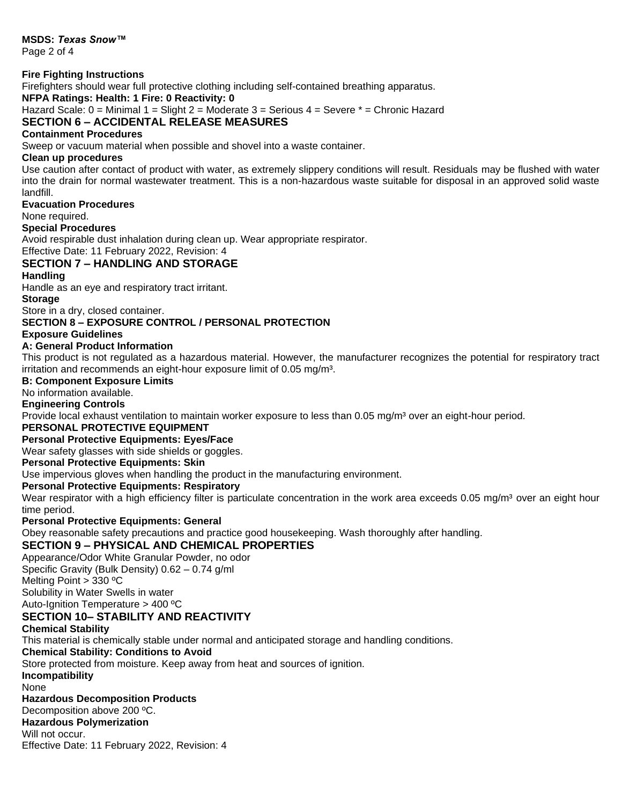**MSDS:** *Texas Snow™*

Page 2 of 4

#### **Fire Fighting Instructions**

Firefighters should wear full protective clothing including self-contained breathing apparatus.

**NFPA Ratings: Health: 1 Fire: 0 Reactivity: 0**

Hazard Scale: 0 = Minimal 1 = Slight 2 = Moderate 3 = Serious 4 = Severe \* = Chronic Hazard **SECTION 6 – ACCIDENTAL RELEASE MEASURES**

# **Containment Procedures**

Sweep or vacuum material when possible and shovel into a waste container.

#### **Clean up procedures**

Use caution after contact of product with water, as extremely slippery conditions will result. Residuals may be flushed with water into the drain for normal wastewater treatment. This is a non-hazardous waste suitable for disposal in an approved solid waste landfill.

#### **Evacuation Procedures**

None required.

#### **Special Procedures**

Avoid respirable dust inhalation during clean up. Wear appropriate respirator.

# Effective Date: 11 February 2022, Revision: 4

#### **SECTION 7 – HANDLING AND STORAGE**

#### **Handling**

Handle as an eye and respiratory tract irritant.

#### **Storage**

Store in a dry, closed container.

#### **SECTION 8 – EXPOSURE CONTROL / PERSONAL PROTECTION**

#### **Exposure Guidelines**

#### **A: General Product Information**

This product is not regulated as a hazardous material. However, the manufacturer recognizes the potential for respiratory tract irritation and recommends an eight-hour exposure limit of 0.05 mg/m<sup>3</sup>.

#### **B: Component Exposure Limits**

No information available.

#### **Engineering Controls**

Provide local exhaust ventilation to maintain worker exposure to less than 0.05 mg/m<sup>3</sup> over an eight-hour period.

#### **PERSONAL PROTECTIVE EQUIPMENT**

**Personal Protective Equipments: Eyes/Face**

Wear safety glasses with side shields or goggles.

### **Personal Protective Equipments: Skin**

Use impervious gloves when handling the product in the manufacturing environment.

#### **Personal Protective Equipments: Respiratory**

Wear respirator with a high efficiency filter is particulate concentration in the work area exceeds 0.05 mg/m<sup>3</sup> over an eight hour time period.

#### **Personal Protective Equipments: General**

Obey reasonable safety precautions and practice good housekeeping. Wash thoroughly after handling.

#### **SECTION 9 – PHYSICAL AND CHEMICAL PROPERTIES**

Appearance/Odor White Granular Powder, no odor

Specific Gravity (Bulk Density) 0.62 – 0.74 g/ml

Melting Point > 330 ºC

Solubility in Water Swells in water

Auto-Ignition Temperature > 400 ºC

# **SECTION 10– STABILITY AND REACTIVITY**

#### **Chemical Stability**

This material is chemically stable under normal and anticipated storage and handling conditions.

#### **Chemical Stability: Conditions to Avoid**

Store protected from moisture. Keep away from heat and sources of ignition.

**Incompatibility**

# None

### **Hazardous Decomposition Products**

Decomposition above 200 ºC.

**Hazardous Polymerization**

#### Will not occur.

Effective Date: 11 February 2022, Revision: 4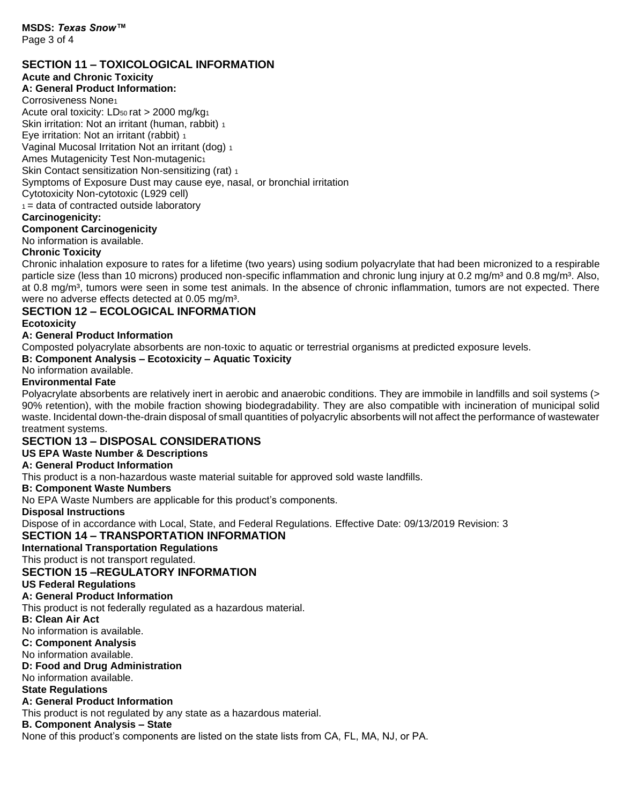# **SECTION 11 – TOXICOLOGICAL INFORMATION**

#### **Acute and Chronic Toxicity**

# **A: General Product Information:**

Corrosiveness None<sup>1</sup> Acute oral toxicity: LD<sub>50</sub> rat > 2000 mg/kg<sub>1</sub> Skin irritation: Not an irritant (human, rabbit) 1 Eye irritation: Not an irritant (rabbit) 1

Vaginal Mucosal Irritation Not an irritant (dog) <sup>1</sup>

Ames Mutagenicity Test Non-mutagenic<sup>1</sup>

Skin Contact sensitization Non-sensitizing (rat) 1 Symptoms of Exposure Dust may cause eye, nasal, or bronchial irritation

Cytotoxicity Non-cytotoxic (L929 cell)

 $1 =$  data of contracted outside laboratory

#### **Carcinogenicity:**

#### **Component Carcinogenicity**

No information is available.

#### **Chronic Toxicity**

Chronic inhalation exposure to rates for a lifetime (two years) using sodium polyacrylate that had been micronized to a respirable particle size (less than 10 microns) produced non-specific inflammation and chronic lung injury at 0.2 mg/m<sup>3</sup> and 0.8 mg/m<sup>3</sup>. Also, at 0.8 mg/m<sup>3</sup>, tumors were seen in some test animals. In the absence of chronic inflammation, tumors are not expected. There were no adverse effects detected at 0.05 mg/m<sup>3</sup>.

#### **SECTION 12 – ECOLOGICAL INFORMATION Ecotoxicity**

#### **A: General Product Information**

Composted polyacrylate absorbents are non-toxic to aquatic or terrestrial organisms at predicted exposure levels.

#### **B: Component Analysis – Ecotoxicity – Aquatic Toxicity**

No information available.

#### **Environmental Fate**

Polyacrylate absorbents are relatively inert in aerobic and anaerobic conditions. They are immobile in landfills and soil systems (> 90% retention), with the mobile fraction showing biodegradability. They are also compatible with incineration of municipal solid waste. Incidental down-the-drain disposal of small quantities of polyacrylic absorbents will not affect the performance of wastewater treatment systems.

# **SECTION 13 – DISPOSAL CONSIDERATIONS**

# **US EPA Waste Number & Descriptions**

#### **A: General Product Information**

This product is a non-hazardous waste material suitable for approved sold waste landfills.

#### **B: Component Waste Numbers**

No EPA Waste Numbers are applicable for this product's components.

**Disposal Instructions**

Dispose of in accordance with Local, State, and Federal Regulations. Effective Date: 09/13/2019 Revision: 3

# **SECTION 14 – TRANSPORTATION INFORMATION**

**International Transportation Regulations**

This product is not transport regulated.

# **SECTION 15 –REGULATORY INFORMATION**

# **US Federal Regulations**

# **A: General Product Information**

This product is not federally regulated as a hazardous material.

# **B: Clean Air Act**

No information is available.

# **C: Component Analysis**

No information available.

# **D: Food and Drug Administration**

No information available.

# **State Regulations**

# **A: General Product Information**

This product is not regulated by any state as a hazardous material.

# **B. Component Analysis – State**

None of this product's components are listed on the state lists from CA, FL, MA, NJ, or PA.